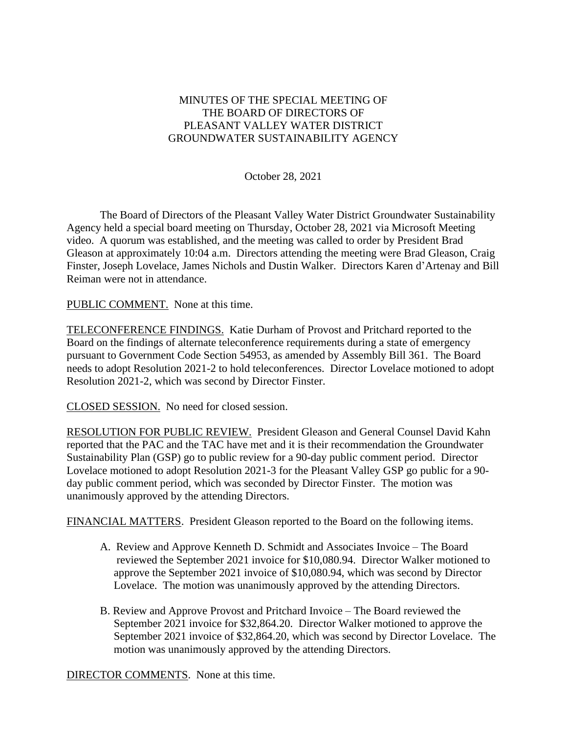## MINUTES OF THE SPECIAL MEETING OF THE BOARD OF DIRECTORS OF PLEASANT VALLEY WATER DISTRICT GROUNDWATER SUSTAINABILITY AGENCY

October 28, 2021

The Board of Directors of the Pleasant Valley Water District Groundwater Sustainability Agency held a special board meeting on Thursday, October 28, 2021 via Microsoft Meeting video. A quorum was established, and the meeting was called to order by President Brad Gleason at approximately 10:04 a.m. Directors attending the meeting were Brad Gleason, Craig Finster, Joseph Lovelace, James Nichols and Dustin Walker. Directors Karen d'Artenay and Bill Reiman were not in attendance.

PUBLIC COMMENT. None at this time.

TELECONFERENCE FINDINGS. Katie Durham of Provost and Pritchard reported to the Board on the findings of alternate teleconference requirements during a state of emergency pursuant to Government Code Section 54953, as amended by Assembly Bill 361. The Board needs to adopt Resolution 2021-2 to hold teleconferences. Director Lovelace motioned to adopt Resolution 2021-2, which was second by Director Finster.

CLOSED SESSION. No need for closed session.

RESOLUTION FOR PUBLIC REVIEW. President Gleason and General Counsel David Kahn reported that the PAC and the TAC have met and it is their recommendation the Groundwater Sustainability Plan (GSP) go to public review for a 90-day public comment period. Director Lovelace motioned to adopt Resolution 2021-3 for the Pleasant Valley GSP go public for a 90 day public comment period, which was seconded by Director Finster. The motion was unanimously approved by the attending Directors.

FINANCIAL MATTERS. President Gleason reported to the Board on the following items.

- A. Review and Approve Kenneth D. Schmidt and Associates Invoice The Board reviewed the September 2021 invoice for \$10,080.94. Director Walker motioned to approve the September 2021 invoice of \$10,080.94, which was second by Director Lovelace. The motion was unanimously approved by the attending Directors.
- B. Review and Approve Provost and Pritchard Invoice The Board reviewed the September 2021 invoice for \$32,864.20. Director Walker motioned to approve the September 2021 invoice of \$32,864.20, which was second by Director Lovelace. The motion was unanimously approved by the attending Directors.

DIRECTOR COMMENTS. None at this time.